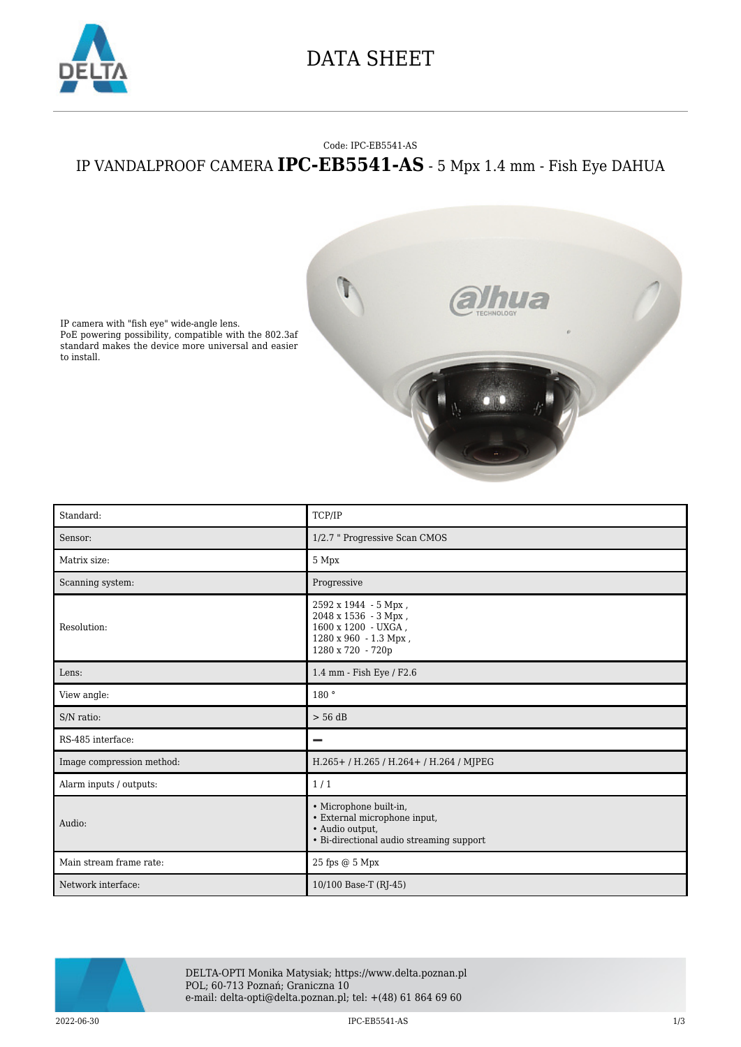

## DATA SHEET

## Code: IPC-EB5541-AS IP VANDALPROOF CAMERA **IPC-EB5541-AS** - 5 Mpx 1.4 mm - Fish Eye DAHUA



IP camera with "fish eye" wide-angle lens. PoE powering possibility, compatible with the 802.3af standard makes the device more universal and easier to install.

| Standard:                 | TCP/IP                                                                                                                |
|---------------------------|-----------------------------------------------------------------------------------------------------------------------|
| Sensor:                   | 1/2.7 " Progressive Scan CMOS                                                                                         |
| Matrix size:              | 5 Mpx                                                                                                                 |
| Scanning system:          | Progressive                                                                                                           |
| Resolution:               | 2592 x 1944 - 5 Mpx,<br>2048 x 1536 - 3 Mpx,<br>1600 x 1200 - UXGA,<br>1280 x 960 - 1.3 Mpx,<br>1280 x 720 - 720p     |
| Lens:                     | 1.4 mm - Fish Eye / F2.6                                                                                              |
| View angle:               | 180°                                                                                                                  |
| S/N ratio:                | $> 56$ dB                                                                                                             |
| RS-485 interface:         | -                                                                                                                     |
| Image compression method: | H.265+/H.265/H.264+/H.264/MJPEG                                                                                       |
| Alarm inputs / outputs:   | 1/1                                                                                                                   |
| Audio:                    | · Microphone built-in,<br>· External microphone input,<br>· Audio output,<br>• Bi-directional audio streaming support |
| Main stream frame rate:   | 25 fps @ 5 Mpx                                                                                                        |
| Network interface:        | 10/100 Base-T (RJ-45)                                                                                                 |



DELTA-OPTI Monika Matysiak; https://www.delta.poznan.pl POL; 60-713 Poznań; Graniczna 10 e-mail: delta-opti@delta.poznan.pl; tel: +(48) 61 864 69 60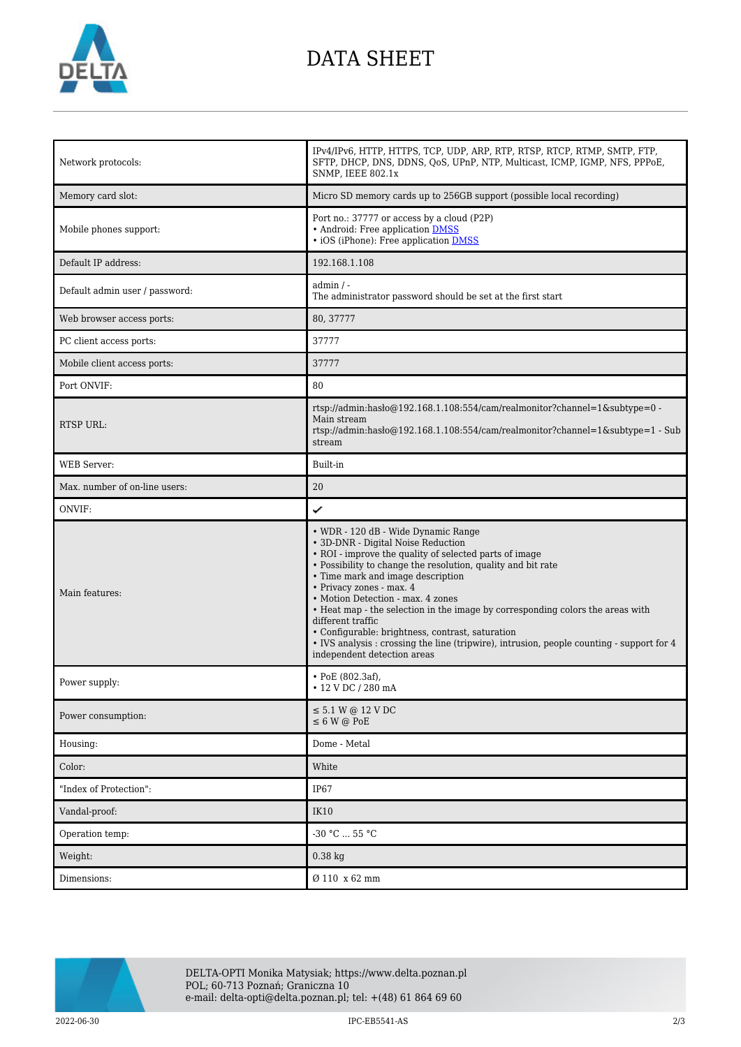

## DATA SHEET

| Network protocols:             | IPv4/IPv6, HTTP, HTTPS, TCP, UDP, ARP, RTP, RTSP, RTCP, RTMP, SMTP, FTP,<br>SFTP, DHCP, DNS, DDNS, QoS, UPnP, NTP, Multicast, ICMP, IGMP, NFS, PPPoE,<br>SNMP, IEEE 802.1x                                                                                                                                                                                                                                                                                                                                                                                                                      |
|--------------------------------|-------------------------------------------------------------------------------------------------------------------------------------------------------------------------------------------------------------------------------------------------------------------------------------------------------------------------------------------------------------------------------------------------------------------------------------------------------------------------------------------------------------------------------------------------------------------------------------------------|
| Memory card slot:              | Micro SD memory cards up to 256GB support (possible local recording)                                                                                                                                                                                                                                                                                                                                                                                                                                                                                                                            |
| Mobile phones support:         | Port no.: 37777 or access by a cloud (P2P)<br>• Android: Free application DMSS<br>• iOS (iPhone): Free application <b>DMSS</b>                                                                                                                                                                                                                                                                                                                                                                                                                                                                  |
| Default IP address:            | 192.168.1.108                                                                                                                                                                                                                                                                                                                                                                                                                                                                                                                                                                                   |
| Default admin user / password: | $admin / -$<br>The administrator password should be set at the first start                                                                                                                                                                                                                                                                                                                                                                                                                                                                                                                      |
| Web browser access ports:      | 80, 37777                                                                                                                                                                                                                                                                                                                                                                                                                                                                                                                                                                                       |
| PC client access ports:        | 37777                                                                                                                                                                                                                                                                                                                                                                                                                                                                                                                                                                                           |
| Mobile client access ports:    | 37777                                                                                                                                                                                                                                                                                                                                                                                                                                                                                                                                                                                           |
| Port ONVIF:                    | 80                                                                                                                                                                                                                                                                                                                                                                                                                                                                                                                                                                                              |
| RTSP URL:                      | rtsp://admin:hasło@192.168.1.108:554/cam/realmonitor?channel=1&subtype=0 -<br>Main stream<br>rtsp://admin.hasho@192.168.1.108:554/cam/realmonitor?channel=1&subtype=1 - Sub<br>stream                                                                                                                                                                                                                                                                                                                                                                                                           |
| <b>WEB</b> Server:             | Built-in                                                                                                                                                                                                                                                                                                                                                                                                                                                                                                                                                                                        |
| Max. number of on-line users:  | 20                                                                                                                                                                                                                                                                                                                                                                                                                                                                                                                                                                                              |
| ONVIF:                         | ✓                                                                                                                                                                                                                                                                                                                                                                                                                                                                                                                                                                                               |
|                                |                                                                                                                                                                                                                                                                                                                                                                                                                                                                                                                                                                                                 |
| Main features:                 | • WDR - 120 dB - Wide Dynamic Range<br>• 3D-DNR - Digital Noise Reduction<br>• ROI - improve the quality of selected parts of image<br>• Possibility to change the resolution, quality and bit rate<br>• Time mark and image description<br>• Privacy zones - max. 4<br>• Motion Detection - max. 4 zones<br>• Heat map - the selection in the image by corresponding colors the areas with<br>different traffic<br>• Configurable: brightness, contrast, saturation<br>• IVS analysis: crossing the line (tripwire), intrusion, people counting - support for 4<br>independent detection areas |
| Power supply:                  | • PoE $(802.3af)$ ,<br>• 12 V DC / 280 mA                                                                                                                                                                                                                                                                                                                                                                                                                                                                                                                                                       |
| Power consumption:             | $\leq$ 5.1 W @ 12 V DC<br>$\leq$ 6 W @ PoE                                                                                                                                                                                                                                                                                                                                                                                                                                                                                                                                                      |
| Housing:                       | Dome - Metal                                                                                                                                                                                                                                                                                                                                                                                                                                                                                                                                                                                    |
| Color:                         | White                                                                                                                                                                                                                                                                                                                                                                                                                                                                                                                                                                                           |
| "Index of Protection":         | IP67                                                                                                                                                                                                                                                                                                                                                                                                                                                                                                                                                                                            |
| Vandal-proof:                  | <b>IK10</b>                                                                                                                                                                                                                                                                                                                                                                                                                                                                                                                                                                                     |
| Operation temp:                | $-30 °C$ 55 °C                                                                                                                                                                                                                                                                                                                                                                                                                                                                                                                                                                                  |
| Weight:                        | $0.38$ kg                                                                                                                                                                                                                                                                                                                                                                                                                                                                                                                                                                                       |



2022-06-30 IPC-EB5541-AS 2/3